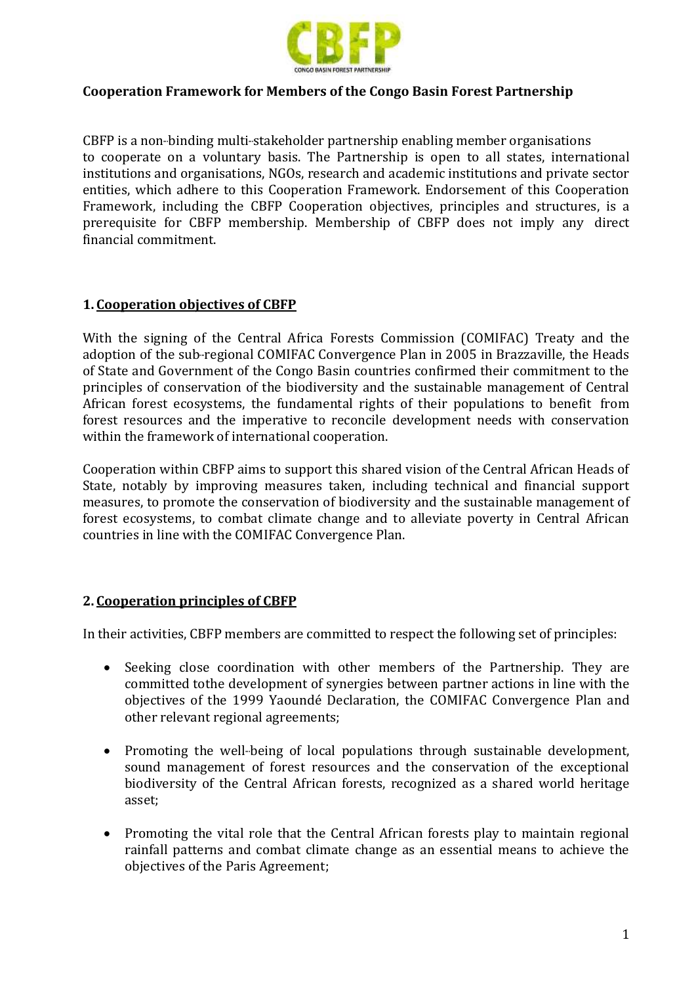

## **Cooperation Framework for Members of the Congo Basin Forest Partnership**

CBFP is a non-binding multi-stakeholder partnership enabling member organisations to cooperate on a voluntary basis. The Partnership is open to all states, international institutions and organisations, NGOs, research and academic institutions and private sector entities, which adhere to this Cooperation Framework. Endorsement of this Cooperation Framework, including the CBFP Cooperation objectives, principles and structures, is a prerequisite for CBFP membership. Membership of CBFP does not imply any direct financial commitment.

## **1. Cooperation objectives of CBFP**

With the signing of the Central Africa Forests Commission (COMIFAC) Treaty and the adoption of the sub-regional COMIFAC Convergence Plan in 2005 in Brazzaville, the Heads of State and Government of the Congo Basin countries confirmed their commitment to the principles of conservation of the biodiversity and the sustainable management of Central African forest ecosystems, the fundamental rights of their populations to benefit from forest resources and the imperative to reconcile development needs with conservation within the framework of international cooperation.

Cooperation within CBFP aims to support this shared vision of the Central African Heads of State, notably by improving measures taken, including technical and financial support measures, to promote the conservation of biodiversity and the sustainable management of forest ecosystems, to combat climate change and to alleviate poverty in Central African countries in line with the COMIFAC Convergence Plan.

## **2. Cooperation principles of CBFP**

In their activities, CBFP members are committed to respect the following set of principles:

- Seeking close coordination with other members of the Partnership. They are committed tothe development of synergies between partner actions in line with the objectives of the 1999 Yaoundé Declaration, the COMIFAC Convergence Plan and other relevant regional agreements;
- Promoting the well-being of local populations through sustainable development, sound management of forest resources and the conservation of the exceptional biodiversity of the Central African forests, recognized as a shared world heritage asset;
- Promoting the vital role that the Central African forests play to maintain regional rainfall patterns and combat climate change as an essential means to achieve the objectives of the Paris Agreement;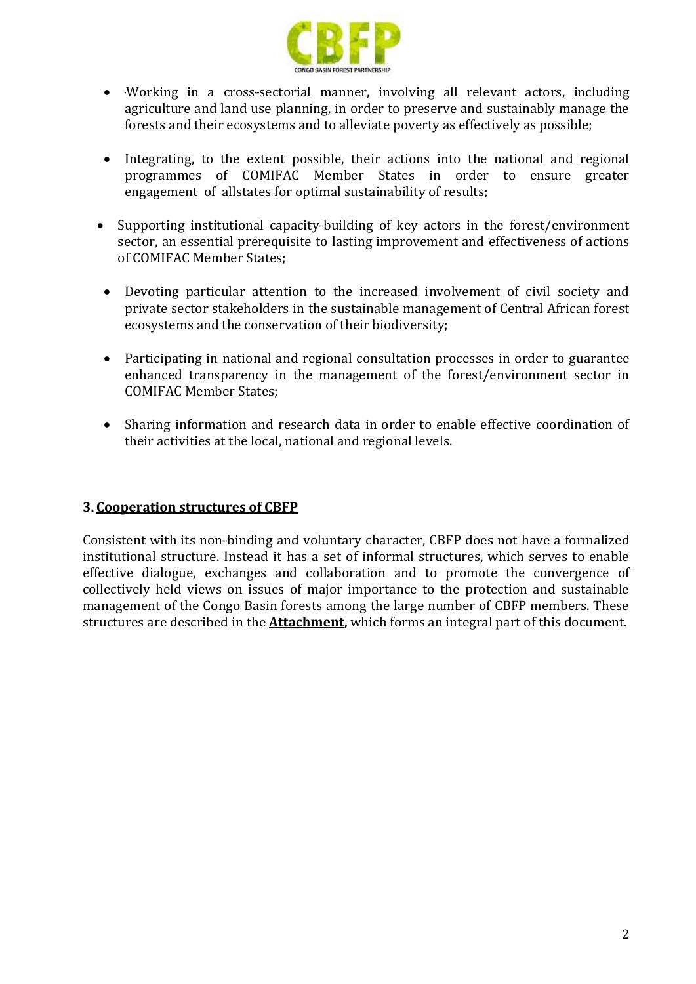

- -Working in a cross-sectorial manner, involving all relevant actors, including agriculture and land use planning, in order to preserve and sustainably manage the forests and their ecosystems and to alleviate poverty as effectively as possible;
- Integrating, to the extent possible, their actions into the national and regional programmes of COMIFAC Member States in order to ensure greater engagement of allstates for optimal sustainability of results;
- Supporting institutional capacity-building of key actors in the forest/environment sector, an essential prerequisite to lasting improvement and effectiveness of actions of COMIFAC Member States;
- Devoting particular attention to the increased involvement of civil society and private sector stakeholders in the sustainable management of Central African forest ecosystems and the conservation of their biodiversity;
- Participating in national and regional consultation processes in order to guarantee enhanced transparency in the management of the forest/environment sector in COMIFAC Member States;
- Sharing information and research data in order to enable effective coordination of their activities at the local, national and regional levels.

## **3. Cooperation structures of CBFP**

Consistent with its non-binding and voluntary character, CBFP does not have a formalized institutional structure. Instead it has a set of informal structures, which serves to enable effective dialogue, exchanges and collaboration and to promote the convergence of collectively held views on issues of major importance to the protection and sustainable management of the Congo Basin forests among the large number of CBFP members. These structures are described in the **Attachment,** which forms an integral part of this document.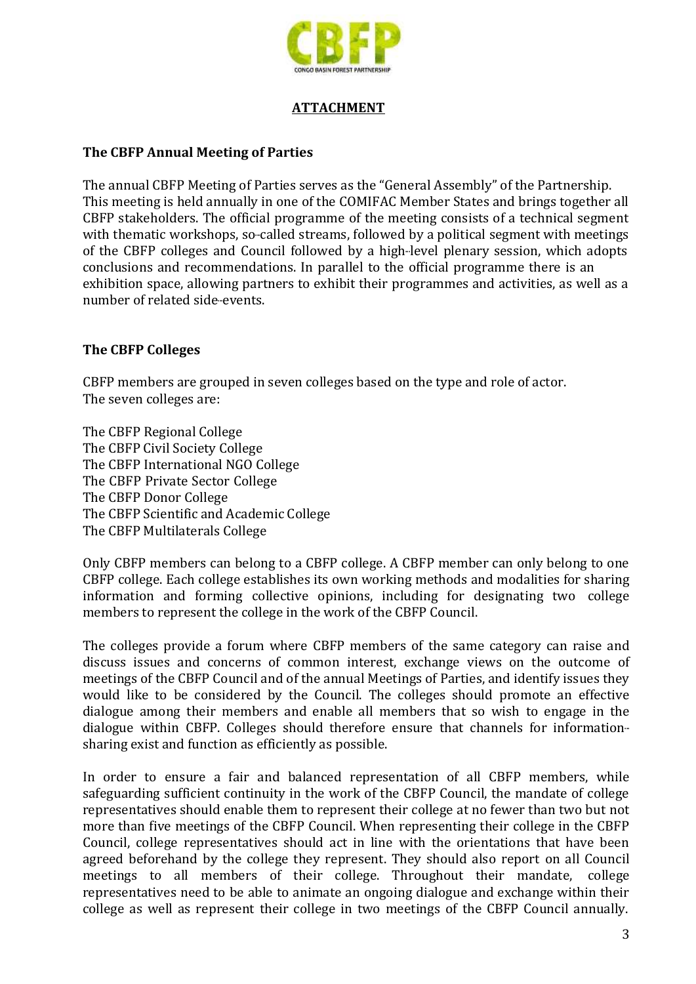

## **ATTACHMENT**

### **The CBFP Annual Meeting of Parties**

The annual CBFP Meeting of Parties serves as the "General Assembly" of the Partnership. This meeting is held annually in one of the COMIFAC Member States and brings together all CBFP stakeholders. The official programme of the meeting consists of a technical segment with thematic workshops, so-called streams, followed by a political segment with meetings of the CBFP colleges and Council followed by a high-level plenary session, which adopts conclusions and recommendations. In parallel to the official programme there is an exhibition space, allowing partners to exhibit their programmes and activities, as well as a number of related side-events.

#### **The CBFP Colleges**

CBFP members are grouped in seven colleges based on the type and role of actor. The seven colleges are:

The CBFP Regional College The CBFP Civil Society College The CBFP International NGO College The CBFP Private Sector College The CBFP Donor College The CBFP Scientific and Academic College The CBFP Multilaterals College

Only CBFP members can belong to a CBFP college. A CBFP member can only belong to one CBFP college. Each college establishes its own working methods and modalities for sharing information and forming collective opinions, including for designating two college members to represent the college in the work of the CBFP Council.

The colleges provide a forum where CBFP members of the same category can raise and discuss issues and concerns of common interest, exchange views on the outcome of meetings of the CBFP Council and of the annual Meetings of Parties, and identify issues they would like to be considered by the Council. The colleges should promote an effective dialogue among their members and enable all members that so wish to engage in the dialogue within CBFP. Colleges should therefore ensure that channels for information sharing exist and function as efficiently as possible.

In order to ensure a fair and balanced representation of all CBFP members, while safeguarding sufficient continuity in the work of the CBFP Council, the mandate of college representatives should enable them to represent their college at no fewer than two but not more than five meetings of the CBFP Council. When representing their college in the CBFP Council, college representatives should act in line with the orientations that have been agreed beforehand by the college they represent. They should also report on all Council meetings to all members of their college. Throughout their mandate, college representatives need to be able to animate an ongoing dialogue and exchange within their college as well as represent their college in two meetings of the CBFP Council annually.